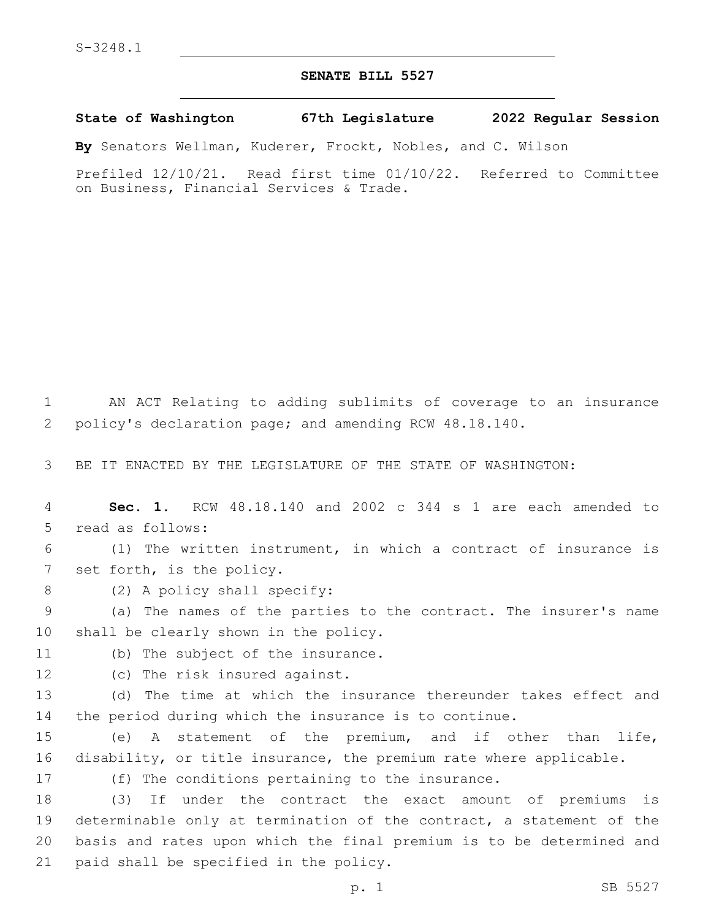## **SENATE BILL 5527**

**State of Washington 67th Legislature 2022 Regular Session**

**By** Senators Wellman, Kuderer, Frockt, Nobles, and C. Wilson

Prefiled 12/10/21. Read first time 01/10/22. Referred to Committee on Business, Financial Services & Trade.

1 AN ACT Relating to adding sublimits of coverage to an insurance 2 policy's declaration page; and amending RCW 48.18.140.

3 BE IT ENACTED BY THE LEGISLATURE OF THE STATE OF WASHINGTON:

4 **Sec. 1.** RCW 48.18.140 and 2002 c 344 s 1 are each amended to 5 read as follows:

6 (1) The written instrument, in which a contract of insurance is 7 set forth, is the policy.

8 (2) A policy shall specify:

9 (a) The names of the parties to the contract. The insurer's name 10 shall be clearly shown in the policy.

11 (b) The subject of the insurance.

12 (c) The risk insured against.

13 (d) The time at which the insurance thereunder takes effect and 14 the period during which the insurance is to continue.

15 (e) A statement of the premium, and if other than life, 16 disability, or title insurance, the premium rate where applicable.

17 (f) The conditions pertaining to the insurance.

 (3) If under the contract the exact amount of premiums is determinable only at termination of the contract, a statement of the basis and rates upon which the final premium is to be determined and 21 paid shall be specified in the policy.